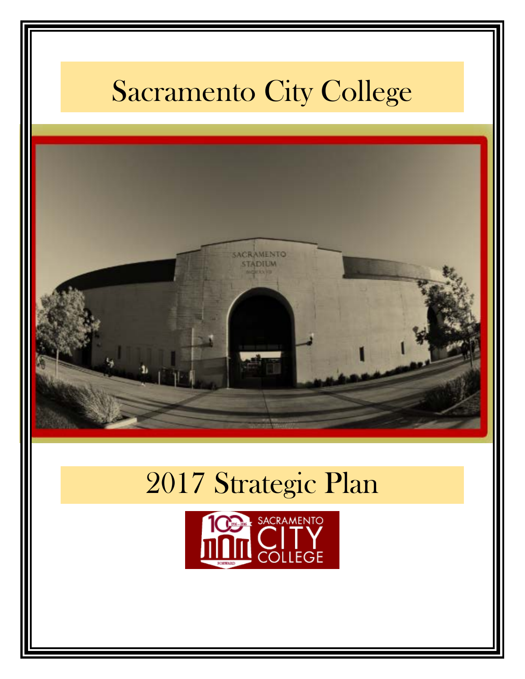# Sacramento City College



# 2017 Strategic Plan

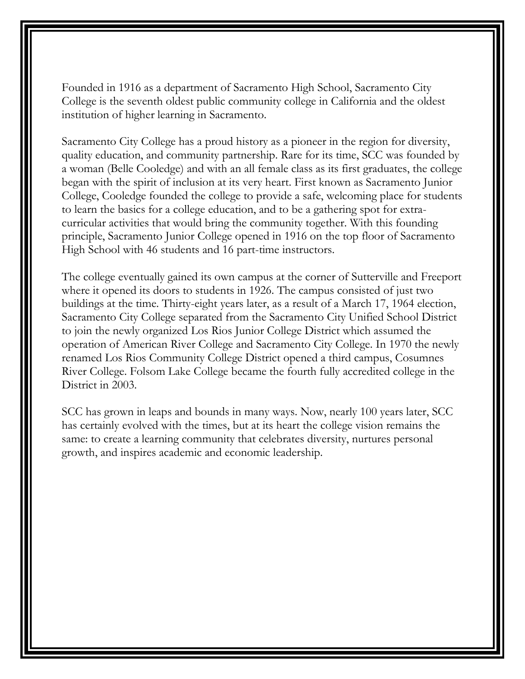Founded in 1916 as a department of Sacramento High School, Sacramento City College is the seventh oldest public community college in California and the oldest institution of higher learning in Sacramento.

Sacramento City College has a proud history as a pioneer in the region for diversity, quality education, and community partnership. Rare for its time, SCC was founded by a woman (Belle Cooledge) and with an all female class as its first graduates, the college began with the spirit of inclusion at its very heart. First known as Sacramento Junior College, Cooledge founded the college to provide a safe, welcoming place for students to learn the basics for a college education, and to be a gathering spot for extracurricular activities that would bring the community together. With this founding principle, Sacramento Junior College opened in 1916 on the top floor of Sacramento High School with 46 students and 16 part-time instructors.

The college eventually gained its own campus at the corner of Sutterville and Freeport where it opened its doors to students in 1926. The campus consisted of just two buildings at the time. Thirty-eight years later, as a result of a March 17, 1964 election, Sacramento City College separated from the Sacramento City Unified School District to join the newly organized Los Rios Junior College District which assumed the operation of American River College and Sacramento City College. In 1970 the newly renamed Los Rios Community College District opened a third campus, Cosumnes River College. Folsom Lake College became the fourth fully accredited college in the District in 2003.

SCC has grown in leaps and bounds in many ways. Now, nearly 100 years later, SCC has certainly evolved with the times, but at its heart the college vision remains the same: to create a learning community that celebrates diversity, nurtures personal growth, and inspires academic and economic leadership.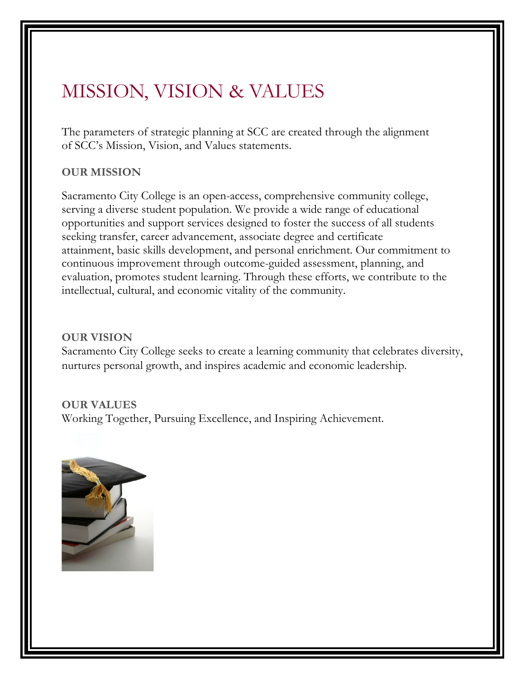# MISSION, VISION & VALUES

The parameters of strategic planning at SCC are created through the alignment of SCC's Mission, Vision, and Values statements.

#### **OUR MISSION**

Sacramento City College is an open-access, comprehensive community college, serving a diverse student population. We provide a wide range of educational opportunities and support services designed to foster the success of all students seeking transfer, career advancement, associate degree and certificate attainment, basic skills development, and personal enrichment. Our commitment to continuous improvement through outcome-guided assessment, planning, and evaluation, promotes student learning. Through these efforts, we contribute to the intellectual, cultural, and economic vitality of the community.

#### **OUR VISION**

Sacramento City College seeks to create a learning community that celebrates diversity, nurtures personal growth, and inspires academic and economic leadership.

#### **OUR VALUES**

Working Together, Pursuing Excellence, and Inspiring Achievement.

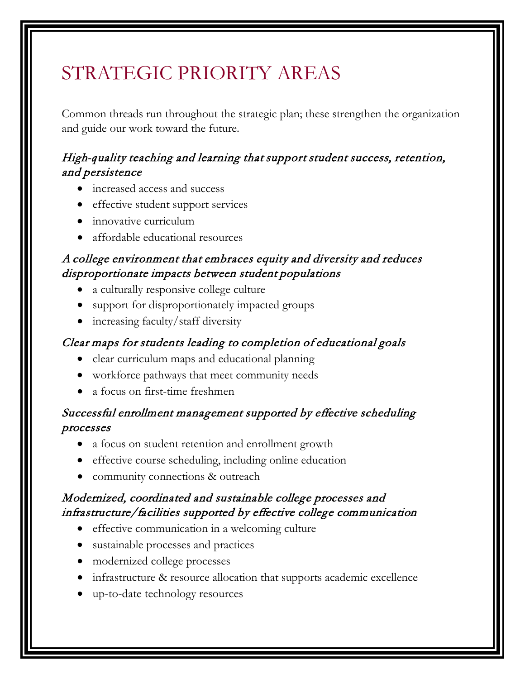# STRATEGIC PRIORITY AREAS

Common threads run throughout the strategic plan; these strengthen the organization and guide our work toward the future.

# High*-q*uality teaching and learning that support student success, retention, and persistence

- increased access and success
- effective student support services
- innovative curriculum
- affordable educational resources

### A college environment that embraces equity and diversity and reduces disproportionate impacts between student populations

- a culturally responsive college culture
- support for disproportionately impacted groups
- increasing faculty/staff diversity

### Clear maps for students leading to completion of educational goals

- clear curriculum maps and educational planning
- workforce pathways that meet community needs
- a focus on first-time freshmen

### Successful enrollment management supported by effective scheduling processes

- a focus on student retention and enrollment growth
- effective course scheduling, including online education
- community connections & outreach

### Modernized, coordinated and sustainable college processes and infrastructure/facilities supported by effective college communication

- effective communication in a welcoming culture
- sustainable processes and practices
- modernized college processes
- infrastructure & resource allocation that supports academic excellence
- up-to-date technology resources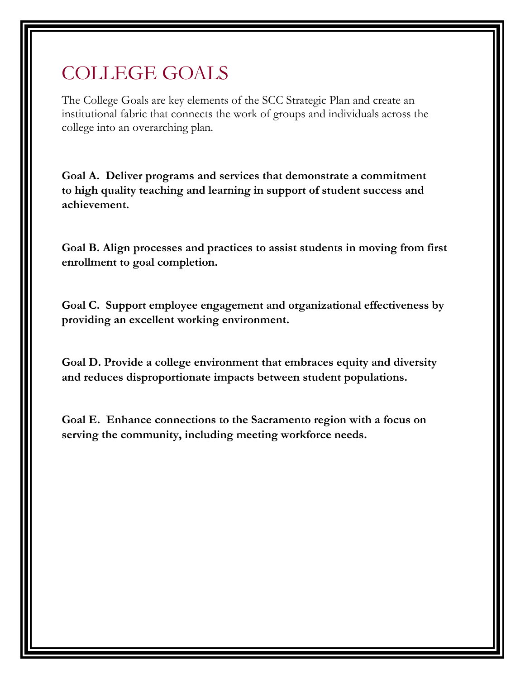# COLLEGE GOALS

The College Goals are key elements of the SCC Strategic Plan and create an institutional fabric that connects the work of groups and individuals across the college into an overarching plan.

**Goal A. Deliver programs and services that demonstrate a commitment to high quality teaching and learning in support of student success and achievement.**

**Goal B. Align processes and practices to assist students in moving from first enrollment to goal completion.** 

**Goal C. Support employee engagement and organizational effectiveness by providing an excellent working environment.**

**Goal D. Provide a college environment that embraces equity and diversity and reduces disproportionate impacts between student populations.** 

**Goal E. Enhance connections to the Sacramento region with a focus on serving the community, including meeting workforce needs.**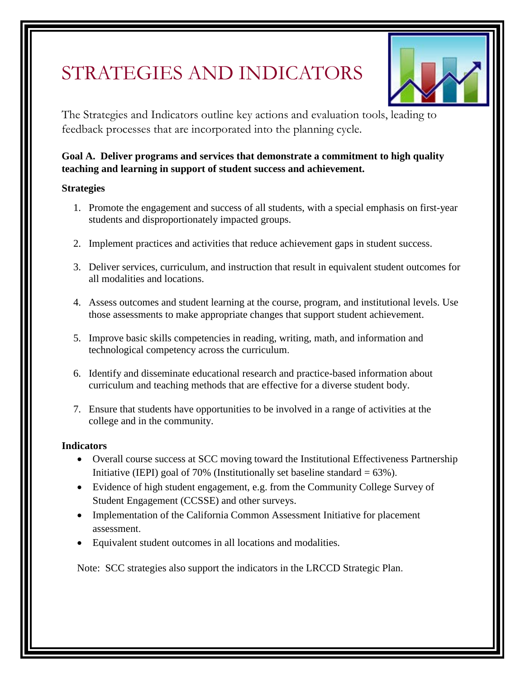# STRATEGIES AND INDICATORS



The Strategies and Indicators outline key actions and evaluation tools, leading to feedback processes that are incorporated into the planning cycle.

#### **Goal A. Deliver programs and services that demonstrate a commitment to high quality teaching and learning in support of student success and achievement.**

#### **Strategies**

- 1. Promote the engagement and success of all students, with a special emphasis on first-year students and disproportionately impacted groups.
- 2. Implement practices and activities that reduce achievement gaps in student success.
- 3. Deliver services, curriculum, and instruction that result in equivalent student outcomes for all modalities and locations.
- 4. Assess outcomes and student learning at the course, program, and institutional levels. Use those assessments to make appropriate changes that support student achievement.
- 5. Improve basic skills competencies in reading, writing, math, and information and technological competency across the curriculum.
- 6. Identify and disseminate educational research and practice-based information about curriculum and teaching methods that are effective for a diverse student body.
- 7. Ensure that students have opportunities to be involved in a range of activities at the college and in the community.

#### **Indicators**

- Overall course success at SCC moving toward the Institutional Effectiveness Partnership Initiative (IEPI) goal of 70% (Institutionally set baseline standard =  $63\%$ ).
- Evidence of high student engagement, e.g. from the Community College Survey of Student Engagement (CCSSE) and other surveys.
- Implementation of the California Common Assessment Initiative for placement assessment.
- Equivalent student outcomes in all locations and modalities.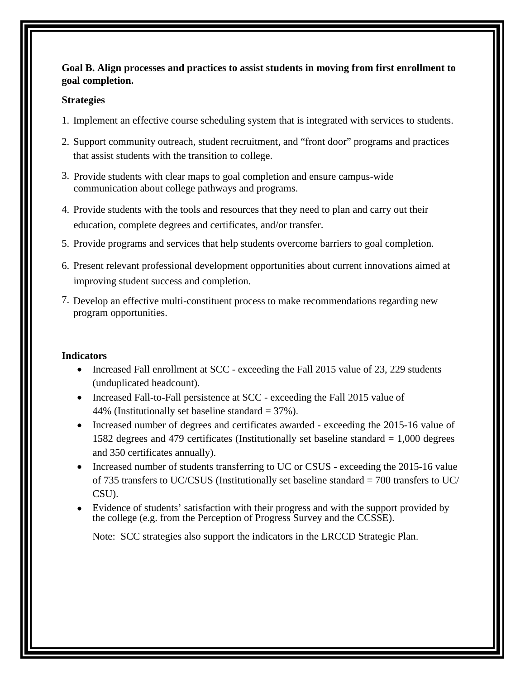#### **Goal B. Align processes and practices to assist students in moving from first enrollment to goal completion.**

#### **Strategies**

- 1. Implement an effective course scheduling system that is integrated with services to students.
- 2. Support community outreach, student recruitment, and "front door" programs and practices that assist students with the transition to college.
- 3. Provide students with clear maps to goal completion and ensure campus-wide communication about college pathways and programs.
- 4. Provide students with the tools and resources that they need to plan and carry out their education, complete degrees and certificates, and/or transfer.
- 5. Provide programs and services that help students overcome barriers to goal completion.
- 6. Present relevant professional development opportunities about current innovations aimed at improving student success and completion.
- 7. Develop an effective multi-constituent process to make recommendations regarding new program opportunities.

#### **Indicators**

- Increased Fall enrollment at SCC exceeding the Fall 2015 value of 23, 229 students (unduplicated headcount).
- Increased Fall-to-Fall persistence at SCC exceeding the Fall 2015 value of 44% (Institutionally set baseline standard  $=$  37%).
- Increased number of degrees and certificates awarded exceeding the 2015-16 value of 1582 degrees and 479 certificates (Institutionally set baseline standard = 1,000 degrees and 350 certificates annually).
- Increased number of students transferring to UC or CSUS exceeding the 2015-16 value of 735 transfers to UC/CSUS (Institutionally set baseline standard = 700 transfers to UC/ CSU).
- Evidence of students' satisfaction with their progress and with the support provided by the college (e.g. from the Perception of Progress Survey and the CCSSE).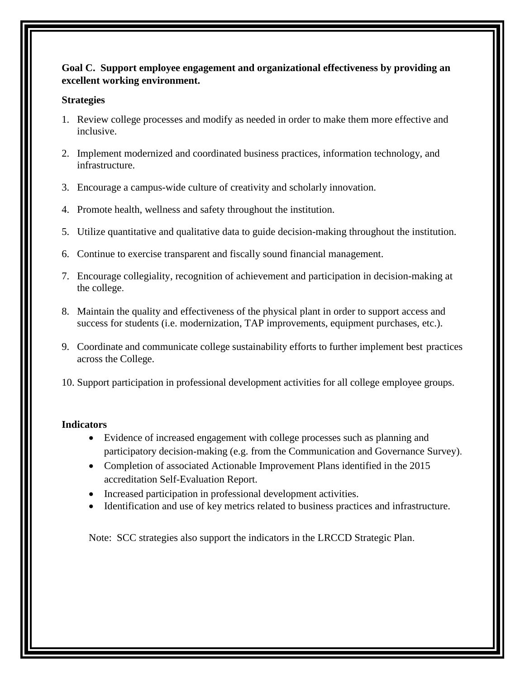#### **Goal C. Support employee engagement and organizational effectiveness by providing an excellent working environment.**

#### **Strategies**

- 1. Review college processes and modify as needed in order to make them more effective and inclusive.
- 2. Implement modernized and coordinated business practices, information technology, and infrastructure.
- 3. Encourage a campus-wide culture of creativity and scholarly innovation.
- 4. Promote health, wellness and safety throughout the institution.
- 5. Utilize quantitative and qualitative data to guide decision-making throughout the institution.
- 6. Continue to exercise transparent and fiscally sound financial management.
- 7. Encourage collegiality, recognition of achievement and participation in decision-making at the college.
- 8. Maintain the quality and effectiveness of the physical plant in order to support access and success for students (i.e. modernization, TAP improvements, equipment purchases, etc.).
- 9. Coordinate and communicate college sustainability efforts to further implement best practices across the College.
- 10. Support participation in professional development activities for all college employee groups.

#### **Indicators**

- Evidence of increased engagement with college processes such as planning and participatory decision-making (e.g. from the Communication and Governance Survey).
- Completion of associated Actionable Improvement Plans identified in the 2015 accreditation Self-Evaluation Report.
- Increased participation in professional development activities.
- Identification and use of key metrics related to business practices and infrastructure.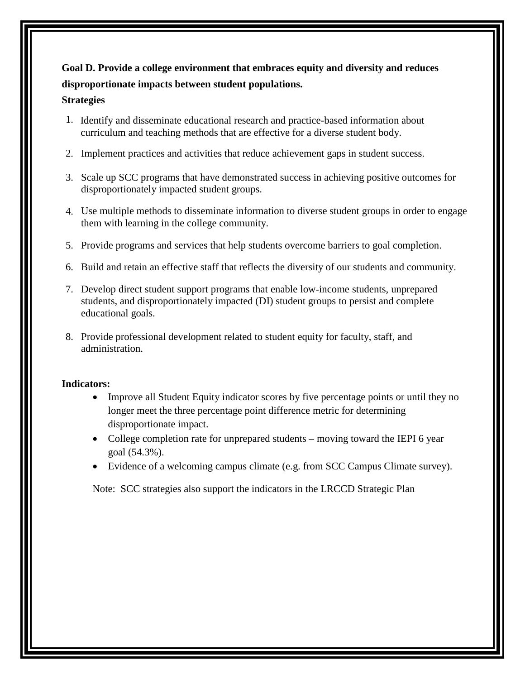# **Goal D. Provide a college environment that embraces equity and diversity and reduces disproportionate impacts between student populations.**

#### **Strategies**

- 1. Identify and disseminate educational research and practice-based information about curriculum and teaching methods that are effective for a diverse student body.
- 2. Implement practices and activities that reduce achievement gaps in student success.
- 3. Scale up SCC programs that have demonstrated success in achieving positive outcomes for disproportionately impacted student groups.
- 4. Use multiple methods to disseminate information to diverse student groups in order to engage them with learning in the college community.
- 5. Provide programs and services that help students overcome barriers to goal completion.
- 6. Build and retain an effective staff that reflects the diversity of our students and community.
- 7. Develop direct student support programs that enable low-income students, unprepared students, and disproportionately impacted (DI) student groups to persist and complete educational goals.
- 8. Provide professional development related to student equity for faculty, staff, and administration.

#### **Indicators:**

- Improve all Student Equity indicator scores by five percentage points or until they no longer meet the three percentage point difference metric for determining disproportionate impact.
- College completion rate for unprepared students moving toward the IEPI 6 year goal (54.3%).
- Evidence of a welcoming campus climate (e.g. from SCC Campus Climate survey).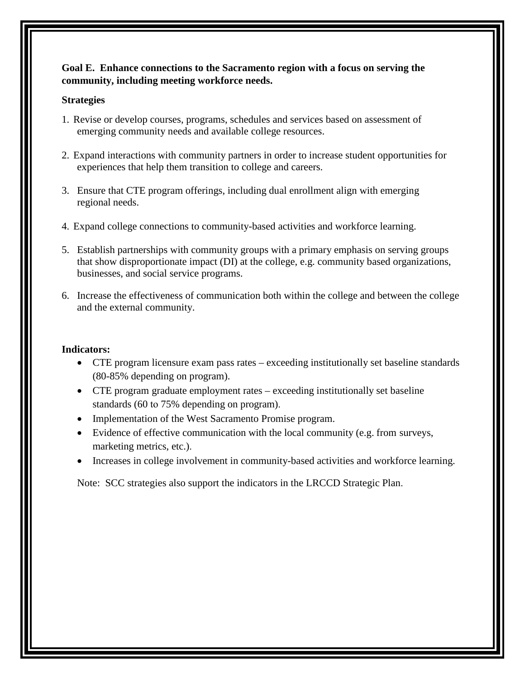#### **Goal E. Enhance connections to the Sacramento region with a focus on serving the community, including meeting workforce needs.**

#### **Strategies**

- 1. Revise or develop courses, programs, schedules and services based on assessment of emerging community needs and available college resources.
- 2. Expand interactions with community partners in order to increase student opportunities for experiences that help them transition to college and careers.
- 3. Ensure that CTE program offerings, including dual enrollment align with emerging regional needs.
- 4. Expand college connections to community-based activities and workforce learning.
- 5. Establish partnerships with community groups with a primary emphasis on serving groups that show disproportionate impact (DI) at the college, e.g. community based organizations, businesses, and social service programs.
- 6. Increase the effectiveness of communication both within the college and between the college and the external community.

#### **Indicators:**

- CTE program licensure exam pass rates exceeding institutionally set baseline standards (80-85% depending on program).
- CTE program graduate employment rates exceeding institutionally set baseline standards (60 to 75% depending on program).
- Implementation of the West Sacramento Promise program.
- Evidence of effective communication with the local community (e.g. from surveys, marketing metrics, etc.).
- Increases in college involvement in community-based activities and workforce learning.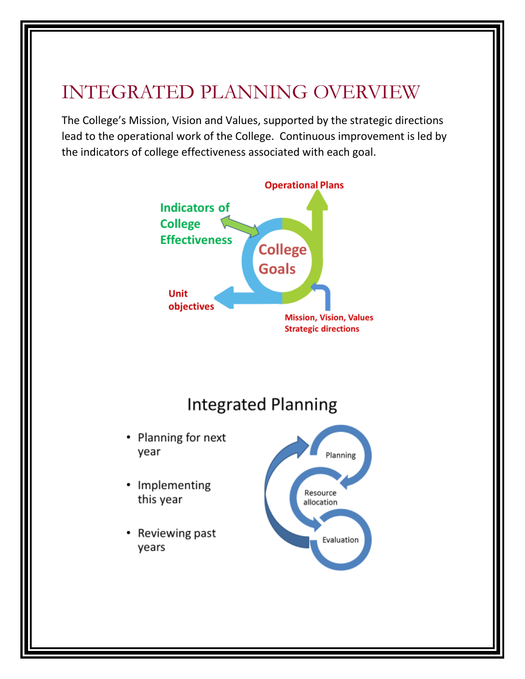# INTEGRATED PLANNING OVERVIEW

The College's Mission, Vision and Values, supported by the strategic directions lead to the operational work of the College. Continuous improvement is led by the indicators of college effectiveness associated with each goal.

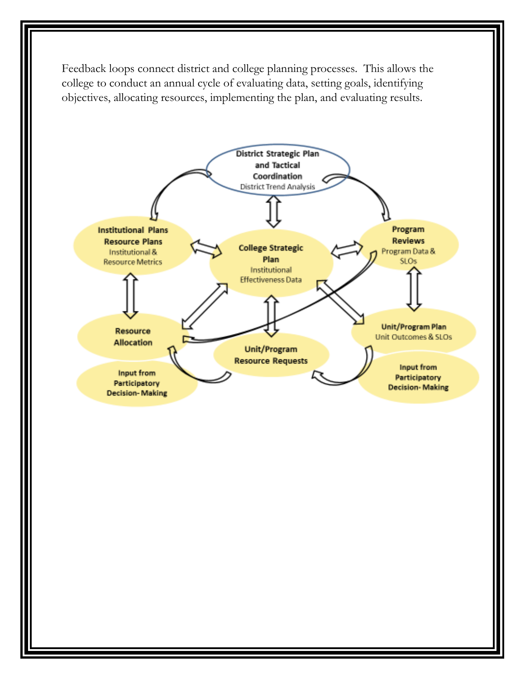Feedback loops connect district and college planning processes. This allows the college to conduct an annual cycle of evaluating data, setting goals, identifying objectives, allocating resources, implementing the plan, and evaluating results.